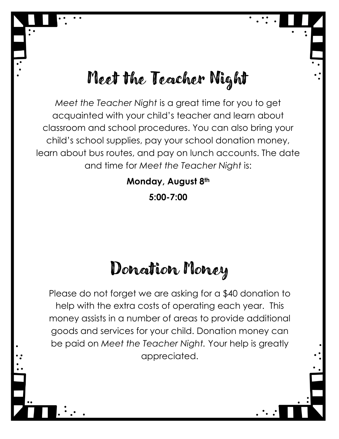## Meet the Teacher Night

*Meet the Teacher Night* is a great time for you to get acquainted with your child's teacher and learn about classroom and school procedures. You can also bring your child's school supplies, pay your school donation money, learn about bus routes, and pay on lunch accounts. The date and time for *Meet the Teacher Night* is:

> **Monday, August 8th 5:00-7:00**

## Donation Money

Please do not forget we are asking for a \$40 donation to help with the extra costs of operating each year. This money assists in a number of areas to provide additional goods and services for your child. Donation money can be paid on *Meet the Teacher Night.* Your help is greatly appreciated.